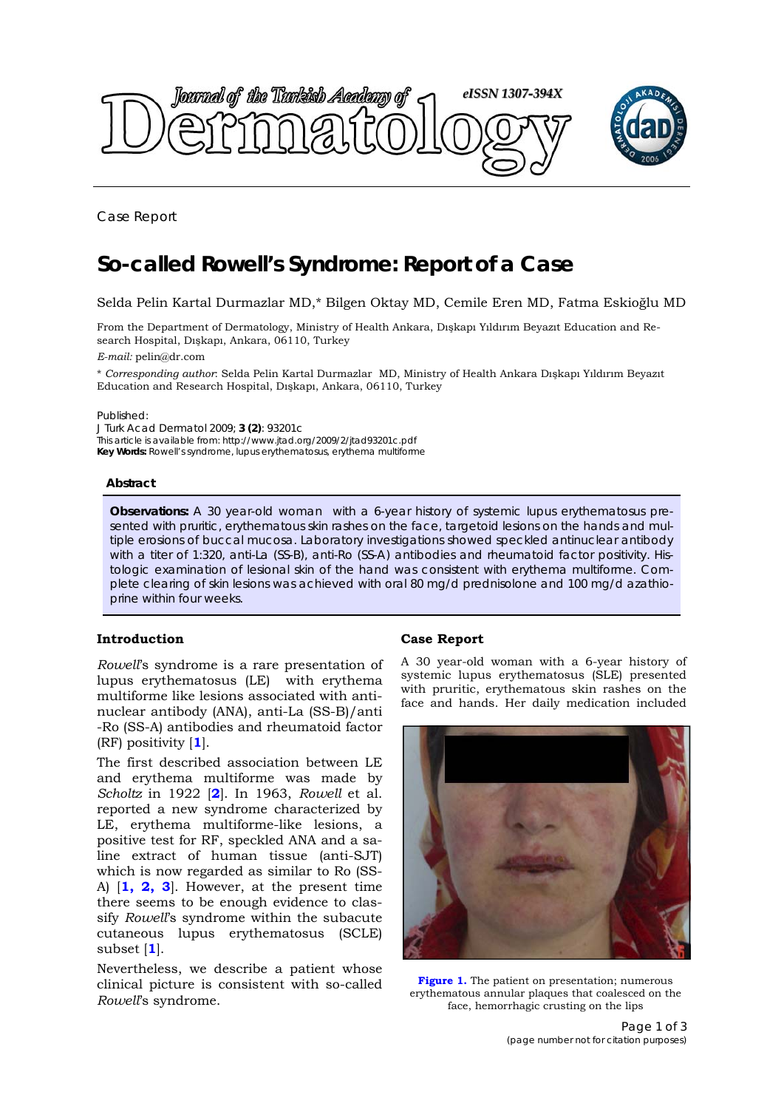

Case Report

# **So-called Rowell's Syndrome: Report of a Case**

Selda Pelin Kartal Durmazlar MD,\* Bilgen Oktay MD, Cemile Eren MD, Fatma Eskioğlu MD

From the Department of Dermatology, Ministry of Health Ankara, Dışkapı Yıldırım Beyazıt Education and Research Hospital, Dışkapı, Ankara, 06110, Turkey

*E-mail:* pelin@dr.com

\* *Corresponding author*: Selda Pelin Kartal Durmazlar MD, Ministry of Health Ankara Dışkapı Yıldırım Beyazıt Education and Research Hospital, Dışkapı, Ankara, 06110, Turkey

Published:

*J Turk Acad Dermatol* 2009; **3 (2)**: 93201c This article is available from: http://www.jtad.org/2009/2/jtad93201c.pdf **Key Words:** *Rowell*'s syndrome, lupus erythematosus, erythema multiforme

## **Abstract**

**Observations:** A 30 year-old woman with a 6-year history of systemic lupus erythematosus presented with pruritic, erythematous skin rashes on the face, targetoid lesions on the hands and multiple erosions of buccal mucosa. Laboratory investigations showed speckled antinuclear antibody with a titer of 1:320, anti-La (SS-B), anti-Ro (SS-A) antibodies and rheumatoid factor positivity. Histologic examination of lesional skin of the hand was consistent with erythema multiforme. Complete clearing of skin lesions was achieved with oral 80 mg/d prednisolone and 100 mg/d azathioprine within four weeks.

## **Introduction**

*Rowell*'s syndrome is a rare presentation of lupus erythematosus (LE) with erythema multiforme like lesions associated with antinuclear antibody (ANA), anti-La (SS-B)/anti -Ro (SS-A) antibodies and rheumatoid factor (RF) positivity [**1**].

The first described association between LE and erythema multiforme was made by *Scholtz* in 1922 [**2**]. In 1963, *Rowell* et al. reported a new syndrome characterized by LE, erythema multiforme-like lesions, a positive test for RF, speckled ANA and a saline extract of human tissue (anti-SJT) which is now regarded as similar to Ro (SS-A) [**1, 2, 3**]. However, at the present time there seems to be enough evidence to classify *Rowell*'s syndrome within the subacute cutaneous lupus erythematosus (SCLE) subset [**1**].

Nevertheless, we describe a patient whose clinical picture is consistent with so-called *Rowell*'s syndrome.

## **Case Report**

A 30 year-old woman with a 6-year history of systemic lupus erythematosus (SLE) presented with pruritic, erythematous skin rashes on the face and hands. Her daily medication included



**Figure 1.** The patient on presentation; numerous erythematous annular plaques that coalesced on the face, hemorrhagic crusting on the lips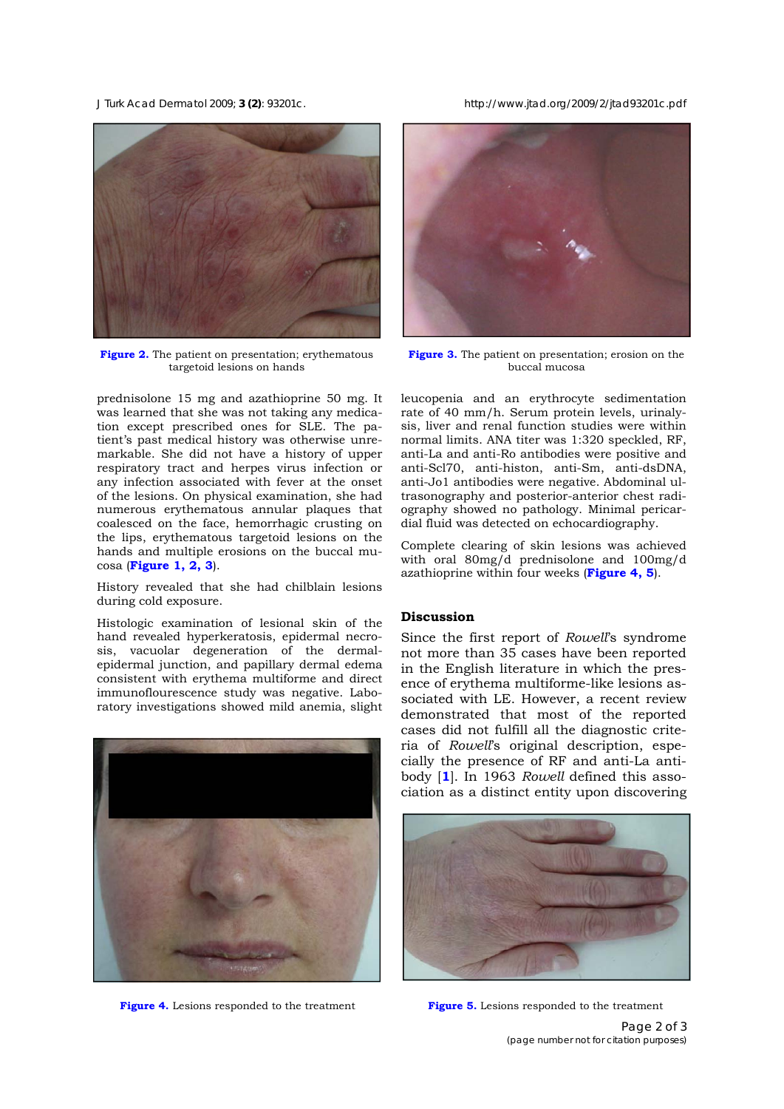*J Turk Acad Dermatol* 2009; **3 (2)**: 93201c. http://www.jtad.org/2009/2/jtad93201c.pdf



**Figure 2.** The patient on presentation; erythematous targetoid lesions on hands

prednisolone 15 mg and azathioprine 50 mg. It was learned that she was not taking any medication except prescribed ones for SLE. The patient's past medical history was otherwise unremarkable. She did not have a history of upper respiratory tract and herpes virus infection or any infection associated with fever at the onset of the lesions. On physical examination, she had numerous erythematous annular plaques that coalesced on the face, hemorrhagic crusting on the lips, erythematous targetoid lesions on the hands and multiple erosions on the buccal mucosa (**Figure 1, 2, 3**).

History revealed that she had chilblain lesions during cold exposure.

Histologic examination of lesional skin of the hand revealed hyperkeratosis, epidermal necrosis, vacuolar degeneration of the dermalepidermal junction, and papillary dermal edema consistent with erythema multiforme and direct immunoflourescence study was negative. Laboratory investigations showed mild anemia, slight



**Figure 4.** Lesions responded to the treatment **Figure 5.** Lesions responded to the treatment



**Figure 3.** The patient on presentation; erosion on the buccal mucosa

leucopenia and an erythrocyte sedimentation rate of 40 mm/h. Serum protein levels, urinalysis, liver and renal function studies were within normal limits. ANA titer was 1:320 speckled, RF, anti-La and anti-Ro antibodies were positive and anti-Scl70, anti-histon, anti-Sm, anti-dsDNA, anti-Jo1 antibodies were negative. Abdominal ultrasonography and posterior-anterior chest radiography showed no pathology. Minimal pericardial fluid was detected on echocardiography.

Complete clearing of skin lesions was achieved with oral 80mg/d prednisolone and 100mg/d azathioprine within four weeks (**Figure 4, 5**).

#### **Discussion**

Since the first report of *Rowell*'s syndrome not more than 35 cases have been reported in the English literature in which the presence of erythema multiforme-like lesions associated with LE. However, a recent review demonstrated that most of the reported cases did not fulfill all the diagnostic criteria of *Rowell*'s original description, especially the presence of RF and anti-La antibody [**1**]. In 1963 *Rowell* defined this association as a distinct entity upon discovering